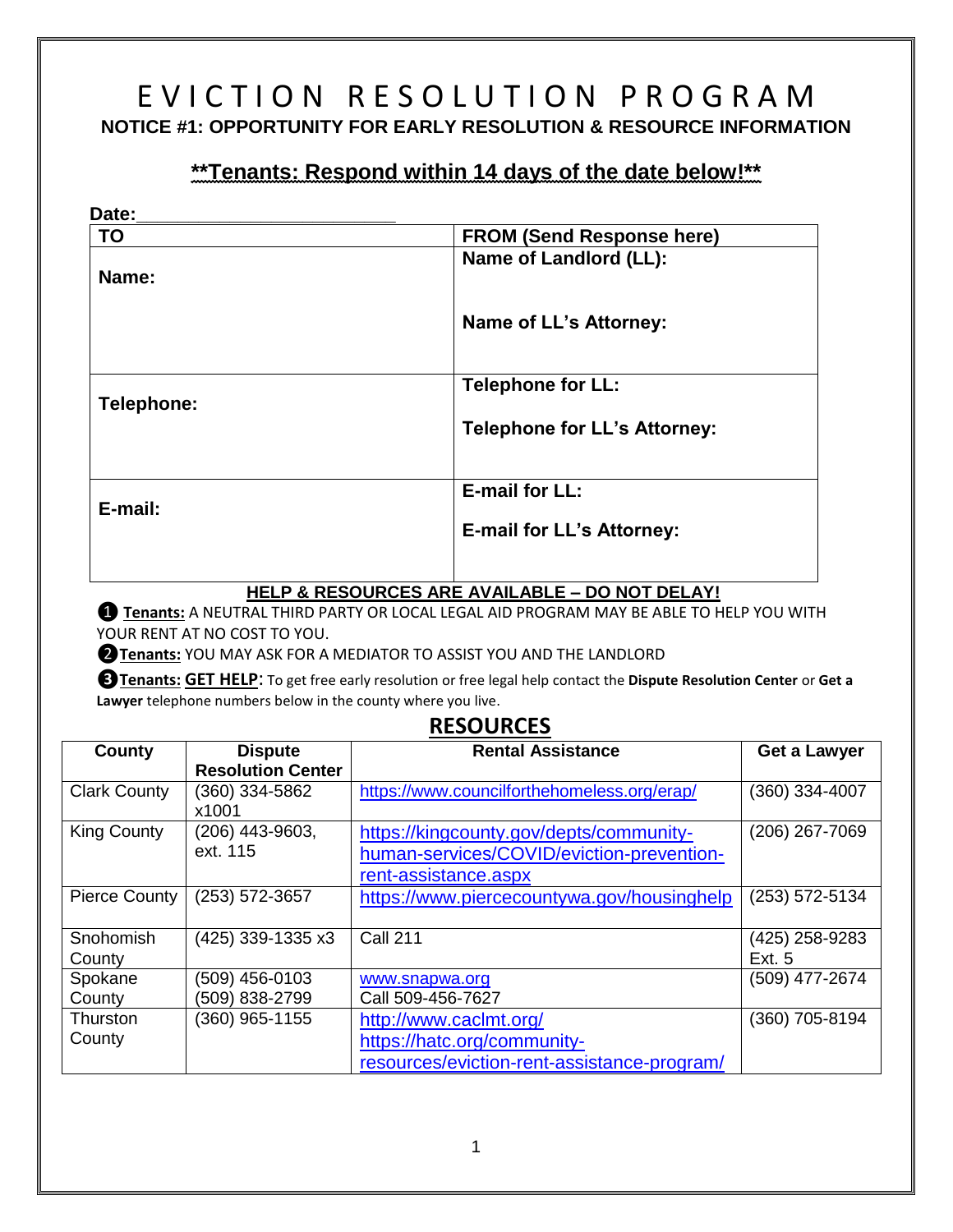# E V I C T I O N R E S O L U T I O N P R O G R A M **NOTICE #1: OPPORTUNITY FOR EARLY RESOLUTION & RESOURCE INFORMATION**

## **\*\*Tenants: Respond within 14 days of the date below!\*\***

| Date:      |                                     |
|------------|-------------------------------------|
| <b>TO</b>  | <b>FROM (Send Response here)</b>    |
| Name:      | Name of Landlord (LL):              |
|            | Name of LL's Attorney:              |
| Telephone: | <b>Telephone for LL:</b>            |
|            | <b>Telephone for LL's Attorney:</b> |
|            | <b>E-mail for LL:</b>               |
|            | <b>E-mail for LL's Attorney:</b>    |
| E-mail:    |                                     |

#### **HELP & RESOURCES ARE AVAILABLE – DO NOT DELAY!**

❶ **Tenants:** A NEUTRAL THIRD PARTY OR LOCAL LEGAL AID PROGRAM MAY BE ABLE TO HELP YOU WITH YOUR RENT AT NO COST TO YOU.

❷**Tenants:** YOU MAY ASK FOR A MEDIATOR TO ASSIST YOU AND THE LANDLORD

**❸Tenants: GET HELP**: To get free early resolution or free legal help contact the **Dispute Resolution Center** or **Get a Lawyer** telephone numbers below in the county where you live.

### **RESOURCES**

| County              | <b>Dispute</b><br><b>Resolution Center</b> | <b>Rental Assistance</b>                                                                                     | Get a Lawyer                    |
|---------------------|--------------------------------------------|--------------------------------------------------------------------------------------------------------------|---------------------------------|
| <b>Clark County</b> | (360) 334-5862<br>x1001                    | https://www.councilforthehomeless.org/erap/                                                                  | (360) 334-4007                  |
| <b>King County</b>  | (206) 443-9603,<br>ext. 115                | https://kingcounty.gov/depts/community-<br>human-services/COVID/eviction-prevention-<br>rent-assistance.aspx | (206) 267-7069                  |
| Pierce County       | (253) 572-3657                             | https://www.piercecountywa.gov/housinghelp                                                                   | (253) 572-5134                  |
| Snohomish<br>County | (425) 339-1335 x3                          | <b>Call 211</b>                                                                                              | (425) 258-9283<br><b>Ext. 5</b> |
| Spokane<br>County   | (509) 456-0103<br>(509) 838-2799           | www.snapwa.org<br>Call 509-456-7627                                                                          | (509) 477-2674                  |
| Thurston<br>County  | (360) 965-1155                             | http://www.caclmt.org/<br>https://hatc.org/community-<br>resources/eviction-rent-assistance-program/         | (360) 705-8194                  |